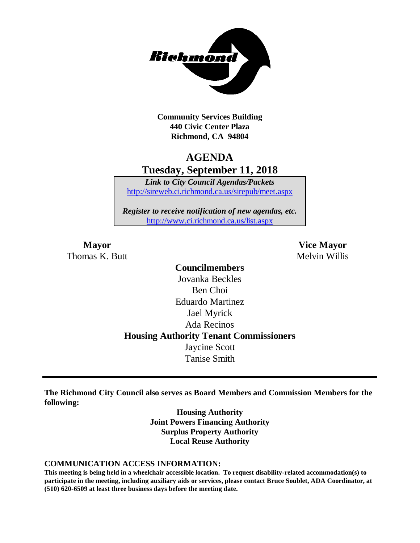

**Community Services Building 440 Civic Center Plaza Richmond, CA 94804**

## **AGENDA Tuesday, September 11, 2018**

*Link to City Council Agendas/Packets* <http://sireweb.ci.richmond.ca.us/sirepub/meet.aspx>

*Register to receive notification of new agendas, etc.* <http://www.ci.richmond.ca.us/list.aspx>

Thomas K. Butt Melvin Willis

**Mayor Vice Mayor**

**Councilmembers** Jovanka Beckles Ben Choi Eduardo Martinez Jael Myrick Ada Recinos **Housing Authority Tenant Commissioners** Jaycine Scott Tanise Smith

**The Richmond City Council also serves as Board Members and Commission Members for the following:**

> **Housing Authority Joint Powers Financing Authority Surplus Property Authority Local Reuse Authority**

#### **COMMUNICATION ACCESS INFORMATION:**

**This meeting is being held in a wheelchair accessible location. To request disability-related accommodation(s) to participate in the meeting, including auxiliary aids or services, please contact Bruce Soublet, ADA Coordinator, at (510) 620-6509 at least three business days before the meeting date.**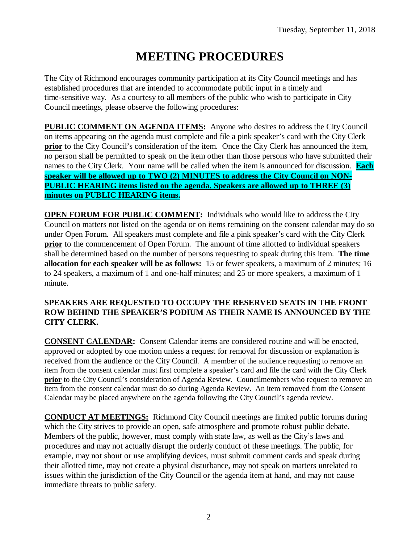# **MEETING PROCEDURES**

The City of Richmond encourages community participation at its City Council meetings and has established procedures that are intended to accommodate public input in a timely and time-sensitive way. As a courtesy to all members of the public who wish to participate in City Council meetings, please observe the following procedures:

**PUBLIC COMMENT ON AGENDA ITEMS:** Anyone who desires to address the City Council on items appearing on the agenda must complete and file a pink speaker's card with the City Clerk **prior** to the City Council's consideration of the item. Once the City Clerk has announced the item, no person shall be permitted to speak on the item other than those persons who have submitted their names to the City Clerk. Your name will be called when the item is announced for discussion. **Each speaker will be allowed up to TWO (2) MINUTES to address the City Council on NON-PUBLIC HEARING items listed on the agenda. Speakers are allowed up to THREE (3) minutes on PUBLIC HEARING items.**

**OPEN FORUM FOR PUBLIC COMMENT:** Individuals who would like to address the City Council on matters not listed on the agenda or on items remaining on the consent calendar may do so under Open Forum. All speakers must complete and file a pink speaker's card with the City Clerk **prior** to the commencement of Open Forum. The amount of time allotted to individual speakers shall be determined based on the number of persons requesting to speak during this item. **The time allocation for each speaker will be as follows:** 15 or fewer speakers, a maximum of 2 minutes; 16 to 24 speakers, a maximum of 1 and one-half minutes; and 25 or more speakers, a maximum of 1 minute.

### **SPEAKERS ARE REQUESTED TO OCCUPY THE RESERVED SEATS IN THE FRONT ROW BEHIND THE SPEAKER'S PODIUM AS THEIR NAME IS ANNOUNCED BY THE CITY CLERK.**

**CONSENT CALENDAR:** Consent Calendar items are considered routine and will be enacted, approved or adopted by one motion unless a request for removal for discussion or explanation is received from the audience or the City Council. A member of the audience requesting to remove an item from the consent calendar must first complete a speaker's card and file the card with the City Clerk **prior** to the City Council's consideration of Agenda Review. Councilmembers who request to remove an item from the consent calendar must do so during Agenda Review. An item removed from the Consent Calendar may be placed anywhere on the agenda following the City Council's agenda review.

**CONDUCT AT MEETINGS:** Richmond City Council meetings are limited public forums during which the City strives to provide an open, safe atmosphere and promote robust public debate. Members of the public, however, must comply with state law, as well as the City's laws and procedures and may not actually disrupt the orderly conduct of these meetings. The public, for example, may not shout or use amplifying devices, must submit comment cards and speak during their allotted time, may not create a physical disturbance, may not speak on matters unrelated to issues within the jurisdiction of the City Council or the agenda item at hand, and may not cause immediate threats to public safety.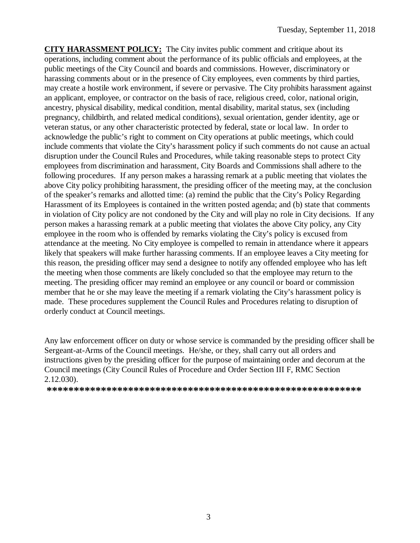**CITY HARASSMENT POLICY:** The City invites public comment and critique about its operations, including comment about the performance of its public officials and employees, at the public meetings of the City Council and boards and commissions. However, discriminatory or harassing comments about or in the presence of City employees, even comments by third parties, may create a hostile work environment, if severe or pervasive. The City prohibits harassment against an applicant, employee, or contractor on the basis of race, religious creed, color, national origin, ancestry, physical disability, medical condition, mental disability, marital status, sex (including pregnancy, childbirth, and related medical conditions), sexual orientation, gender identity, age or veteran status, or any other characteristic protected by federal, state or local law. In order to acknowledge the public's right to comment on City operations at public meetings, which could include comments that violate the City's harassment policy if such comments do not cause an actual disruption under the Council Rules and Procedures, while taking reasonable steps to protect City employees from discrimination and harassment, City Boards and Commissions shall adhere to the following procedures. If any person makes a harassing remark at a public meeting that violates the above City policy prohibiting harassment, the presiding officer of the meeting may, at the conclusion of the speaker's remarks and allotted time: (a) remind the public that the City's Policy Regarding Harassment of its Employees is contained in the written posted agenda; and (b) state that comments in violation of City policy are not condoned by the City and will play no role in City decisions. If any person makes a harassing remark at a public meeting that violates the above City policy, any City employee in the room who is offended by remarks violating the City's policy is excused from attendance at the meeting. No City employee is compelled to remain in attendance where it appears likely that speakers will make further harassing comments. If an employee leaves a City meeting for this reason, the presiding officer may send a designee to notify any offended employee who has left the meeting when those comments are likely concluded so that the employee may return to the meeting. The presiding officer may remind an employee or any council or board or commission member that he or she may leave the meeting if a remark violating the City's harassment policy is made. These procedures supplement the Council Rules and Procedures relating to disruption of orderly conduct at Council meetings.

Any law enforcement officer on duty or whose service is commanded by the presiding officer shall be Sergeant-at-Arms of the Council meetings. He/she, or they, shall carry out all orders and instructions given by the presiding officer for the purpose of maintaining order and decorum at the Council meetings (City Council Rules of Procedure and Order Section III F, RMC Section 2.12.030).

**\*\*\*\*\*\*\*\*\*\*\*\*\*\*\*\*\*\*\*\*\*\*\*\*\*\*\*\*\*\*\*\*\*\*\*\*\*\*\*\*\*\*\*\*\*\*\*\*\*\*\*\*\*\*\*\*\*\***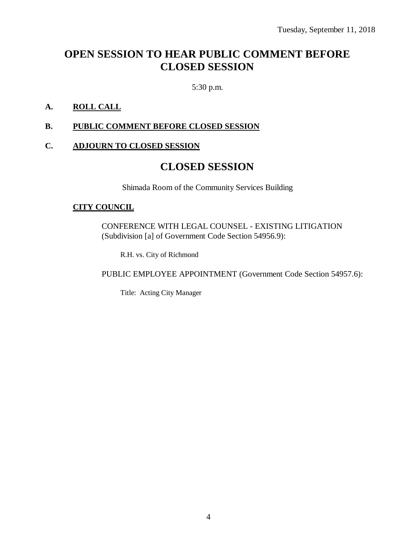# **OPEN SESSION TO HEAR PUBLIC COMMENT BEFORE CLOSED SESSION**

5:30 p.m.

### **A. ROLL CALL**

### **B. PUBLIC COMMENT BEFORE CLOSED SESSION**

### **C. ADJOURN TO CLOSED SESSION**

### **CLOSED SESSION**

Shimada Room of the Community Services Building

### **CITY COUNCIL**

CONFERENCE WITH LEGAL COUNSEL - EXISTING LITIGATION (Subdivision [a] of Government Code Section 54956.9):

R.H. vs. City of Richmond

PUBLIC EMPLOYEE APPOINTMENT (Government Code Section 54957.6):

Title: Acting City Manager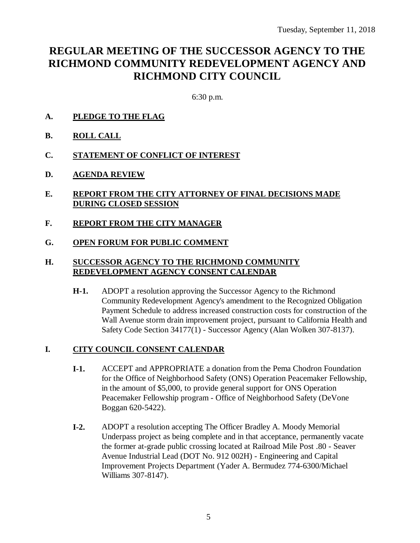# **REGULAR MEETING OF THE SUCCESSOR AGENCY TO THE RICHMOND COMMUNITY REDEVELOPMENT AGENCY AND RICHMOND CITY COUNCIL**

6:30 p.m.

- **A. PLEDGE TO THE FLAG**
- **B. ROLL CALL**
- **C. STATEMENT OF CONFLICT OF INTEREST**
- **D. AGENDA REVIEW**
- **E. REPORT FROM THE CITY ATTORNEY OF FINAL DECISIONS MADE DURING CLOSED SESSION**
- **F. REPORT FROM THE CITY MANAGER**
- **G. OPEN FORUM FOR PUBLIC COMMENT**

### **H. SUCCESSOR AGENCY TO THE RICHMOND COMMUNITY REDEVELOPMENT AGENCY CONSENT CALENDAR**

**H-1.** ADOPT a resolution approving the Successor Agency to the Richmond Community Redevelopment Agency's amendment to the Recognized Obligation Payment Schedule to address increased construction costs for construction of the Wall Avenue storm drain improvement project, pursuant to California Health and Safety Code Section 34177(1) - Successor Agency (Alan Wolken 307-8137).

### **I. CITY COUNCIL CONSENT CALENDAR**

- **I-1.** ACCEPT and APPROPRIATE a donation from the Pema Chodron Foundation for the Office of Neighborhood Safety (ONS) Operation Peacemaker Fellowship, in the amount of \$5,000, to provide general support for ONS Operation Peacemaker Fellowship program - Office of Neighborhood Safety (DeVone Boggan 620-5422).
- **I-2.** ADOPT a resolution accepting The Officer Bradley A. Moody Memorial Underpass project as being complete and in that acceptance, permanently vacate the former at-grade public crossing located at Railroad Mile Post .80 - Seaver Avenue Industrial Lead (DOT No. 912 002H) - Engineering and Capital Improvement Projects Department (Yader A. Bermudez 774-6300/Michael Williams 307-8147).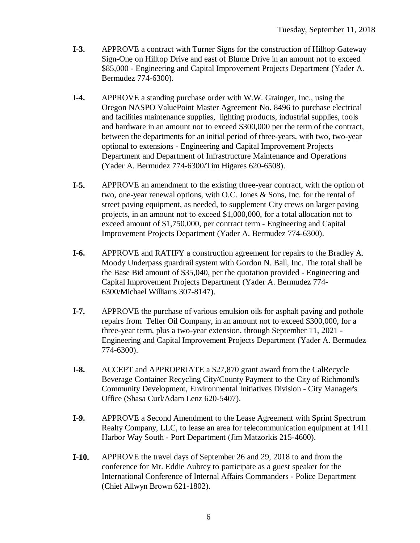- **I-3.** APPROVE a contract with Turner Signs for the construction of Hilltop Gateway Sign-One on Hilltop Drive and east of Blume Drive in an amount not to exceed \$85,000 - Engineering and Capital Improvement Projects Department (Yader A. Bermudez 774-6300).
- **I-4.** APPROVE a standing purchase order with W.W. Grainger, Inc., using the Oregon NASPO ValuePoint Master Agreement No. 8496 to purchase electrical and facilities maintenance supplies, lighting products, industrial supplies, tools and hardware in an amount not to exceed \$300,000 per the term of the contract, between the departments for an initial period of three-years, with two, two-year optional to extensions - Engineering and Capital Improvement Projects Department and Department of Infrastructure Maintenance and Operations (Yader A. Bermudez 774-6300/Tim Higares 620-6508).
- **I-5.** APPROVE an amendment to the existing three-year contract, with the option of two, one-year renewal options, with O.C. Jones & Sons, Inc. for the rental of street paving equipment, as needed, to supplement City crews on larger paving projects, in an amount not to exceed \$1,000,000, for a total allocation not to exceed amount of \$1,750,000, per contract term - Engineering and Capital Improvement Projects Department (Yader A. Bermudez 774-6300).
- **I-6.** APPROVE and RATIFY a construction agreement for repairs to the Bradley A. Moody Underpass guardrail system with Gordon N. Ball, Inc. The total shall be the Base Bid amount of \$35,040, per the quotation provided - Engineering and Capital Improvement Projects Department (Yader A. Bermudez 774- 6300/Michael Williams 307-8147).
- **I-7.** APPROVE the purchase of various emulsion oils for asphalt paving and pothole repairs from Telfer Oil Company, in an amount not to exceed \$300,000, for a three-year term, plus a two-year extension, through September 11, 2021 - Engineering and Capital Improvement Projects Department (Yader A. Bermudez 774-6300).
- **I-8.** ACCEPT and APPROPRIATE a \$27,870 grant award from the CalRecycle Beverage Container Recycling City/County Payment to the City of Richmond's Community Development, Environmental Initiatives Division - City Manager's Office (Shasa Curl/Adam Lenz 620-5407).
- **I-9.** APPROVE a Second Amendment to the Lease Agreement with Sprint Spectrum Realty Company, LLC, to lease an area for telecommunication equipment at 1411 Harbor Way South - Port Department (Jim Matzorkis 215-4600).
- **I-10.** APPROVE the travel days of September 26 and 29, 2018 to and from the conference for Mr. Eddie Aubrey to participate as a guest speaker for the International Conference of Internal Affairs Commanders - Police Department (Chief Allwyn Brown 621-1802).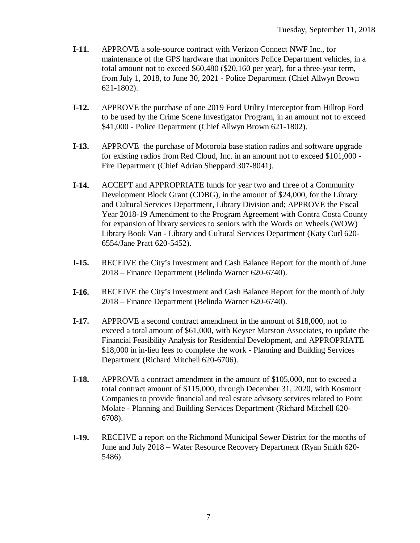- **I-11.** APPROVE a sole-source contract with Verizon Connect NWF Inc., for maintenance of the GPS hardware that monitors Police Department vehicles, in a total amount not to exceed \$60,480 (\$20,160 per year), for a three-year term, from July 1, 2018, to June 30, 2021 - Police Department (Chief Allwyn Brown 621-1802).
- **I-12.** APPROVE the purchase of one 2019 Ford Utility Interceptor from Hilltop Ford to be used by the Crime Scene Investigator Program, in an amount not to exceed \$41,000 - Police Department (Chief Allwyn Brown 621-1802).
- **I-13.** APPROVE the purchase of Motorola base station radios and software upgrade for existing radios from Red Cloud, Inc. in an amount not to exceed \$101,000 - Fire Department (Chief Adrian Sheppard 307-8041).
- **I-14.** ACCEPT and APPROPRIATE funds for year two and three of a Community Development Block Grant (CDBG), in the amount of \$24,000, for the Library and Cultural Services Department, Library Division and; APPROVE the Fiscal Year 2018-19 Amendment to the Program Agreement with Contra Costa County for expansion of library services to seniors with the Words on Wheels (WOW) Library Book Van - Library and Cultural Services Department (Katy Curl 620- 6554/Jane Pratt 620-5452).
- **I-15.** RECEIVE the City's Investment and Cash Balance Report for the month of June 2018 – Finance Department (Belinda Warner 620-6740).
- **I-16.** RECEIVE the City's Investment and Cash Balance Report for the month of July 2018 – Finance Department (Belinda Warner 620-6740).
- **I-17.** APPROVE a second contract amendment in the amount of \$18,000, not to exceed a total amount of \$61,000, with Keyser Marston Associates, to update the Financial Feasibility Analysis for Residential Development, and APPROPRIATE \$18,000 in in-lieu fees to complete the work - Planning and Building Services Department (Richard Mitchell 620-6706).
- **I-18.** APPROVE a contract amendment in the amount of \$105,000, not to exceed a total contract amount of \$115,000, through December 31, 2020, with Kosmont Companies to provide financial and real estate advisory services related to Point Molate - Planning and Building Services Department (Richard Mitchell 620- 6708).
- **I-19.** RECEIVE a report on the Richmond Municipal Sewer District for the months of June and July 2018 – Water Resource Recovery Department (Ryan Smith 620- 5486).